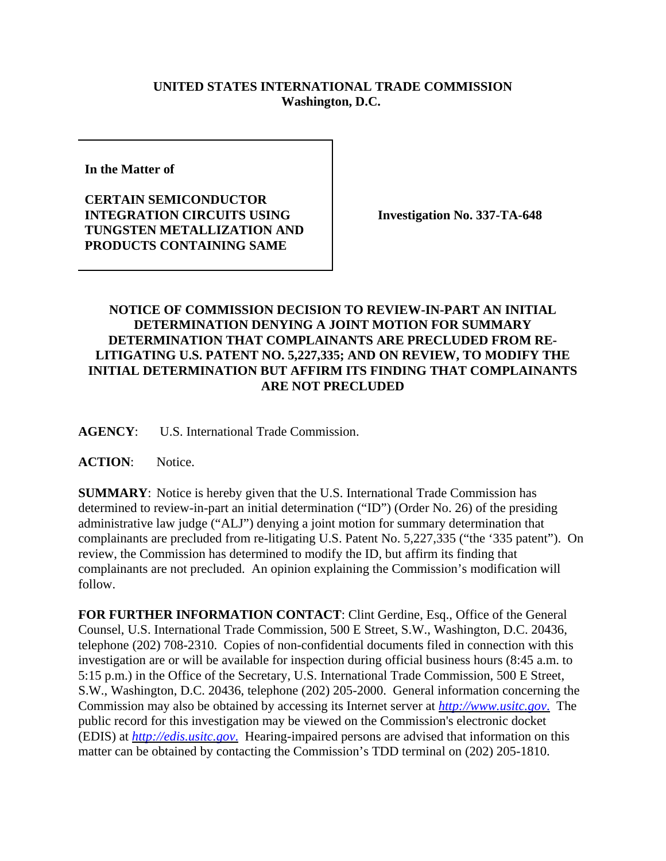## **UNITED STATES INTERNATIONAL TRADE COMMISSION Washington, D.C.**

**In the Matter of** 

**CERTAIN SEMICONDUCTOR INTEGRATION CIRCUITS USING TUNGSTEN METALLIZATION AND PRODUCTS CONTAINING SAME**

**Investigation No. 337-TA-648**

## **NOTICE OF COMMISSION DECISION TO REVIEW-IN-PART AN INITIAL DETERMINATION DENYING A JOINT MOTION FOR SUMMARY DETERMINATION THAT COMPLAINANTS ARE PRECLUDED FROM RE-LITIGATING U.S. PATENT NO. 5,227,335; AND ON REVIEW, TO MODIFY THE INITIAL DETERMINATION BUT AFFIRM ITS FINDING THAT COMPLAINANTS ARE NOT PRECLUDED**

**AGENCY**: U.S. International Trade Commission.

**ACTION**: Notice.

**SUMMARY**: Notice is hereby given that the U.S. International Trade Commission has determined to review-in-part an initial determination ("ID") (Order No. 26) of the presiding administrative law judge ("ALJ") denying a joint motion for summary determination that complainants are precluded from re-litigating U.S. Patent No. 5,227,335 ("the '335 patent"). On review, the Commission has determined to modify the ID, but affirm its finding that complainants are not precluded. An opinion explaining the Commission's modification will follow.

**FOR FURTHER INFORMATION CONTACT**: Clint Gerdine, Esq., Office of the General Counsel, U.S. International Trade Commission, 500 E Street, S.W., Washington, D.C. 20436, telephone (202) 708-2310. Copies of non-confidential documents filed in connection with this investigation are or will be available for inspection during official business hours (8:45 a.m. to 5:15 p.m.) in the Office of the Secretary, U.S. International Trade Commission, 500 E Street, S.W., Washington, D.C. 20436, telephone (202) 205-2000. General information concerning the Commission may also be obtained by accessing its Internet server at *http://www.usitc.gov*. The public record for this investigation may be viewed on the Commission's electronic docket (EDIS) at *http://edis.usitc.gov*. Hearing-impaired persons are advised that information on this matter can be obtained by contacting the Commission's TDD terminal on (202) 205-1810.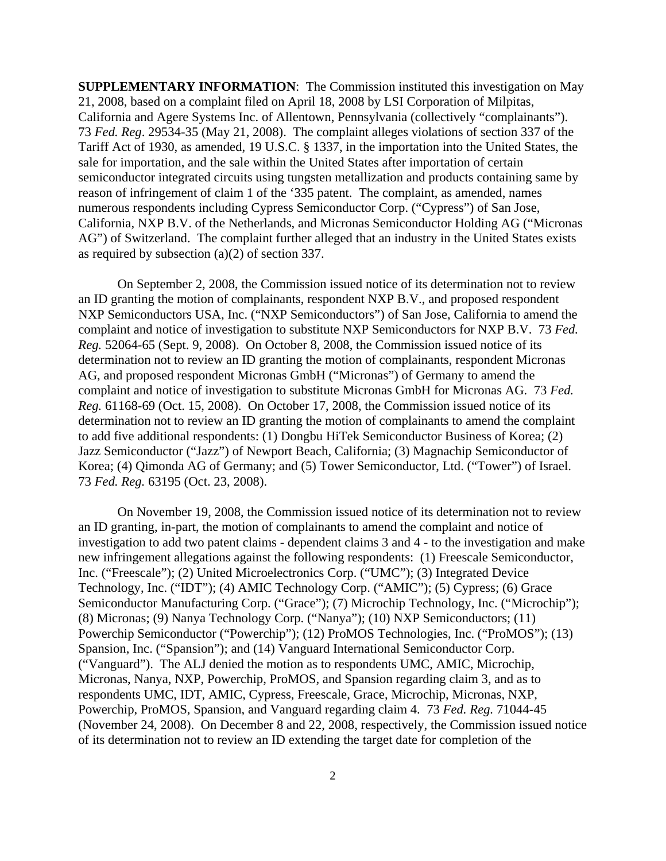**SUPPLEMENTARY INFORMATION**: The Commission instituted this investigation on May 21, 2008, based on a complaint filed on April 18, 2008 by LSI Corporation of Milpitas, California and Agere Systems Inc. of Allentown, Pennsylvania (collectively "complainants"). 73 *Fed. Reg*. 29534-35 (May 21, 2008). The complaint alleges violations of section 337 of the Tariff Act of 1930, as amended, 19 U.S.C. § 1337, in the importation into the United States, the sale for importation, and the sale within the United States after importation of certain semiconductor integrated circuits using tungsten metallization and products containing same by reason of infringement of claim 1 of the '335 patent. The complaint, as amended, names numerous respondents including Cypress Semiconductor Corp. ("Cypress") of San Jose, California, NXP B.V. of the Netherlands, and Micronas Semiconductor Holding AG ("Micronas AG") of Switzerland. The complaint further alleged that an industry in the United States exists as required by subsection (a)(2) of section 337.

On September 2, 2008, the Commission issued notice of its determination not to review an ID granting the motion of complainants, respondent NXP B.V., and proposed respondent NXP Semiconductors USA, Inc. ("NXP Semiconductors") of San Jose, California to amend the complaint and notice of investigation to substitute NXP Semiconductors for NXP B.V. 73 *Fed. Reg.* 52064-65 (Sept. 9, 2008). On October 8, 2008, the Commission issued notice of its determination not to review an ID granting the motion of complainants, respondent Micronas AG, and proposed respondent Micronas GmbH ("Micronas") of Germany to amend the complaint and notice of investigation to substitute Micronas GmbH for Micronas AG. 73 *Fed. Reg.* 61168-69 (Oct. 15, 2008). On October 17, 2008, the Commission issued notice of its determination not to review an ID granting the motion of complainants to amend the complaint to add five additional respondents: (1) Dongbu HiTek Semiconductor Business of Korea; (2) Jazz Semiconductor ("Jazz") of Newport Beach, California; (3) Magnachip Semiconductor of Korea; (4) Qimonda AG of Germany; and (5) Tower Semiconductor, Ltd. ("Tower") of Israel. 73 *Fed. Reg.* 63195 (Oct. 23, 2008).

On November 19, 2008, the Commission issued notice of its determination not to review an ID granting, in-part, the motion of complainants to amend the complaint and notice of investigation to add two patent claims - dependent claims 3 and 4 - to the investigation and make new infringement allegations against the following respondents: (1) Freescale Semiconductor, Inc. ("Freescale"); (2) United Microelectronics Corp. ("UMC"); (3) Integrated Device Technology, Inc. ("IDT"); (4) AMIC Technology Corp. ("AMIC"); (5) Cypress; (6) Grace Semiconductor Manufacturing Corp. ("Grace"); (7) Microchip Technology, Inc. ("Microchip"); (8) Micronas; (9) Nanya Technology Corp. ("Nanya"); (10) NXP Semiconductors; (11) Powerchip Semiconductor ("Powerchip"); (12) ProMOS Technologies, Inc. ("ProMOS"); (13) Spansion, Inc. ("Spansion"); and (14) Vanguard International Semiconductor Corp. ("Vanguard"). The ALJ denied the motion as to respondents UMC, AMIC, Microchip, Micronas, Nanya, NXP, Powerchip, ProMOS, and Spansion regarding claim 3, and as to respondents UMC, IDT, AMIC, Cypress, Freescale, Grace, Microchip, Micronas, NXP, Powerchip, ProMOS, Spansion, and Vanguard regarding claim 4. 73 *Fed. Reg.* 71044-45 (November 24, 2008). On December 8 and 22, 2008, respectively, the Commission issued notice of its determination not to review an ID extending the target date for completion of the